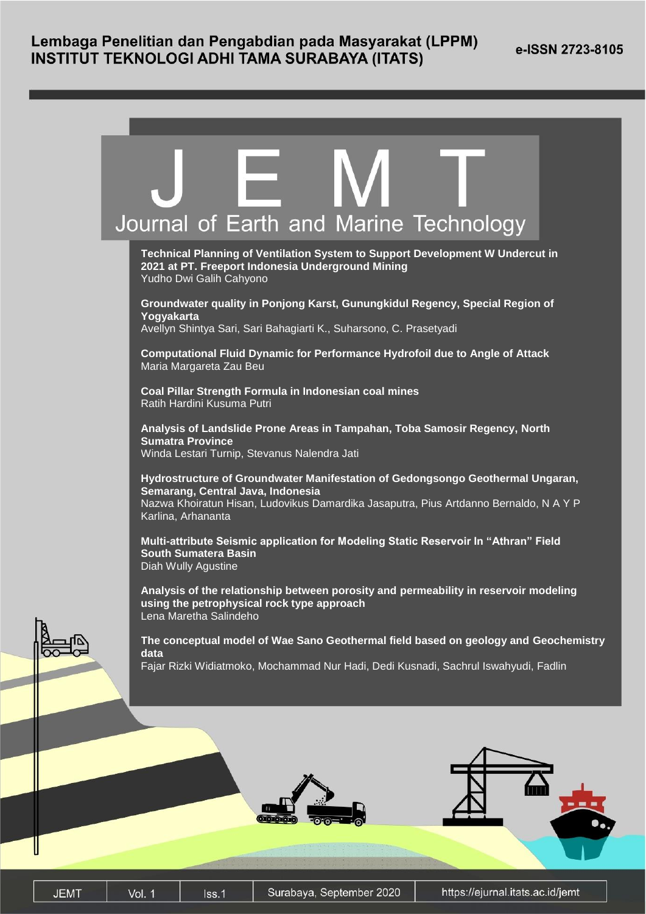

 $\textsf{lss.1}$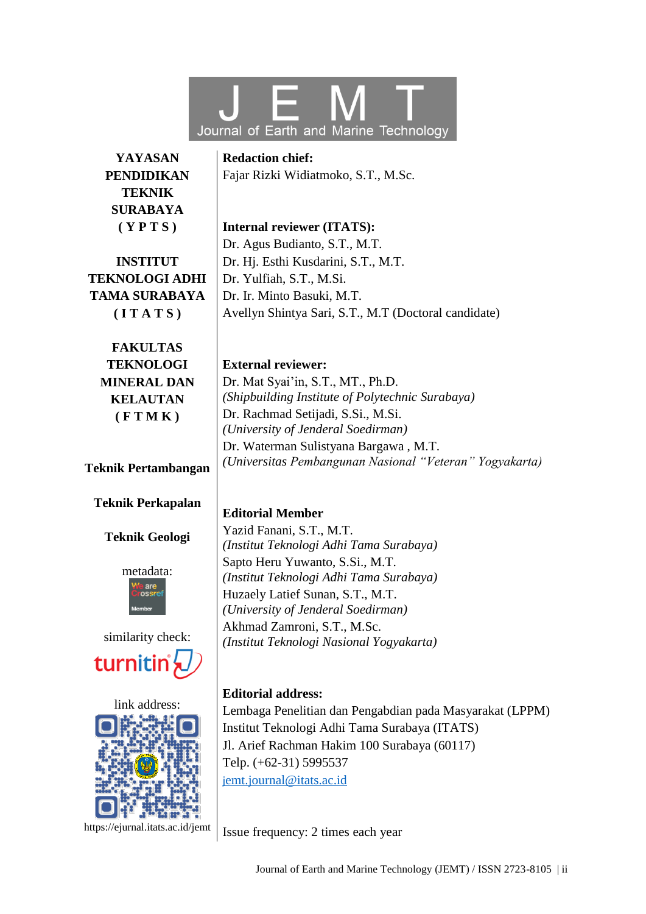

| <b>YAYASAN</b>           | <b>Redaction chief:</b>                                             |
|--------------------------|---------------------------------------------------------------------|
| <b>PENDIDIKAN</b>        | Fajar Rizki Widiatmoko, S.T., M.Sc.                                 |
| <b>TEKNIK</b>            |                                                                     |
| <b>SURABAYA</b>          |                                                                     |
| (YPTS)                   | <b>Internal reviewer (ITATS):</b>                                   |
|                          | Dr. Agus Budianto, S.T., M.T.                                       |
| <b>INSTITUT</b>          | Dr. Hj. Esthi Kusdarini, S.T., M.T.                                 |
| <b>TEKNOLOGI ADHI</b>    | Dr. Yulfiah, S.T., M.Si.                                            |
| <b>TAMA SURABAYA</b>     | Dr. Ir. Minto Basuki, M.T.                                          |
| (ITATS)                  | Avellyn Shintya Sari, S.T., M.T (Doctoral candidate)                |
| <b>FAKULTAS</b>          |                                                                     |
| <b>TEKNOLOGI</b>         | <b>External reviewer:</b>                                           |
| <b>MINERAL DAN</b>       | Dr. Mat Syai'in, S.T., MT., Ph.D.                                   |
| <b>KELAUTAN</b>          | (Shipbuilding Institute of Polytechnic Surabaya)                    |
| (FTMK)                   | Dr. Rachmad Setijadi, S.Si., M.Si.                                  |
|                          | (University of Jenderal Soedirman)                                  |
|                          | Dr. Waterman Sulistyana Bargawa, M.T.                               |
| Teknik Pertambangan      | (Universitas Pembangunan Nasional "Veteran" Yogyakarta)             |
| <b>Teknik Perkapalan</b> | <b>Editorial Member</b>                                             |
|                          |                                                                     |
| <b>Teknik Geologi</b>    | Yazid Fanani, S.T., M.T.<br>(Institut Teknologi Adhi Tama Surabaya) |
|                          | Sapto Heru Yuwanto, S.Si., M.T.                                     |
| metadata:                | (Institut Teknologi Adhi Tama Surabaya)                             |
| are<br>ossre             | Huzaely Latief Sunan, S.T., M.T.                                    |
| Member                   | (University of Jenderal Soedirman)                                  |
|                          | Akhmad Zamroni, S.T., M.Sc.                                         |
| similarity check:        | (Institut Teknologi Nasional Yogyakarta)                            |
| turnitin                 |                                                                     |
|                          | <b>Editorial address:</b>                                           |
| link address:            | Lembaga Penelitian dan Pengabdian pada Masyarakat (LPPM)            |
|                          | Institut Teknologi Adhi Tama Surabaya (ITATS)                       |
|                          | Jl. Arief Rachman Hakim 100 Surabaya (60117)                        |

Telp. (+62-31) 5995537 j[emt.journal@itats.ac.id](mailto:jemt.journal@itats.ac.id)

https://ejurnal.itats.ac.id/jemt

Issue frequency: 2 times each year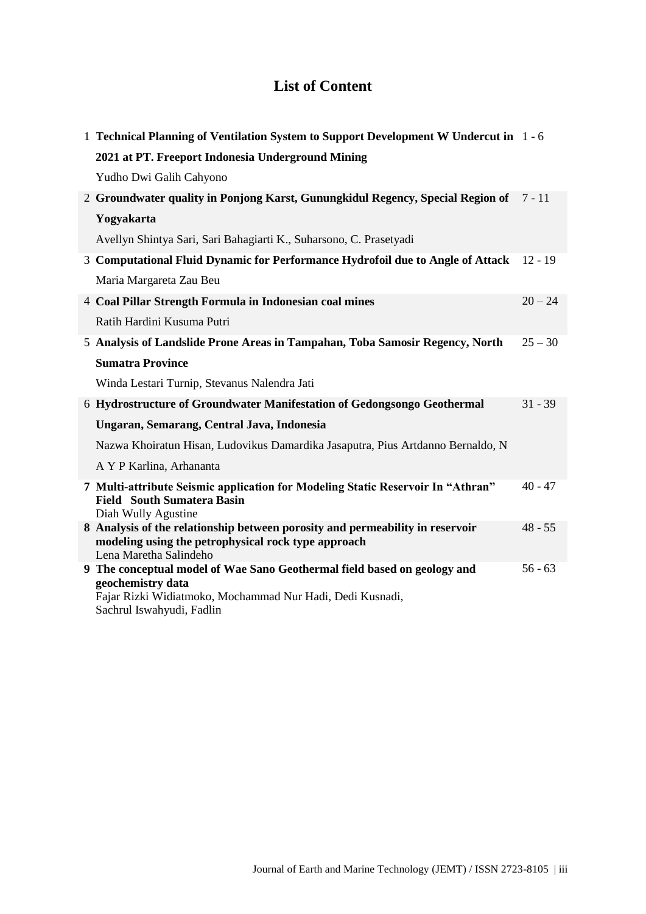## **List of Content**

|  | 1 Technical Planning of Ventilation System to Support Development W Undercut in 1 - 6                                                                                                   |           |
|--|-----------------------------------------------------------------------------------------------------------------------------------------------------------------------------------------|-----------|
|  | 2021 at PT. Freeport Indonesia Underground Mining                                                                                                                                       |           |
|  | Yudho Dwi Galih Cahyono                                                                                                                                                                 |           |
|  | 2 Groundwater quality in Ponjong Karst, Gunungkidul Regency, Special Region of                                                                                                          | $7 - 11$  |
|  | Yogyakarta                                                                                                                                                                              |           |
|  | Avellyn Shintya Sari, Sari Bahagiarti K., Suharsono, C. Prasetyadi                                                                                                                      |           |
|  | 3 Computational Fluid Dynamic for Performance Hydrofoil due to Angle of Attack                                                                                                          | $12 - 19$ |
|  | Maria Margareta Zau Beu                                                                                                                                                                 |           |
|  | 4 Coal Pillar Strength Formula in Indonesian coal mines                                                                                                                                 | $20 - 24$ |
|  | Ratih Hardini Kusuma Putri                                                                                                                                                              |           |
|  | 5 Analysis of Landslide Prone Areas in Tampahan, Toba Samosir Regency, North                                                                                                            | $25 - 30$ |
|  | <b>Sumatra Province</b>                                                                                                                                                                 |           |
|  | Winda Lestari Turnip, Stevanus Nalendra Jati                                                                                                                                            |           |
|  | 6 Hydrostructure of Groundwater Manifestation of Gedongsongo Geothermal                                                                                                                 | $31 - 39$ |
|  | Ungaran, Semarang, Central Java, Indonesia                                                                                                                                              |           |
|  | Nazwa Khoiratun Hisan, Ludovikus Damardika Jasaputra, Pius Artdanno Bernaldo, N                                                                                                         |           |
|  | A Y P Karlina, Arhananta                                                                                                                                                                |           |
|  | 7 Multi-attribute Seismic application for Modeling Static Reservoir In "Athran"<br><b>Field South Sumatera Basin</b><br>Diah Wully Agustine                                             | $40 - 47$ |
|  | 8 Analysis of the relationship between porosity and permeability in reservoir<br>modeling using the petrophysical rock type approach<br>Lena Maretha Salindeho                          | $48 - 55$ |
|  | 9 The conceptual model of Wae Sano Geothermal field based on geology and<br>geochemistry data<br>Fajar Rizki Widiatmoko, Mochammad Nur Hadi, Dedi Kusnadi,<br>Sachrul Iswahyudi, Fadlin | $56 - 63$ |